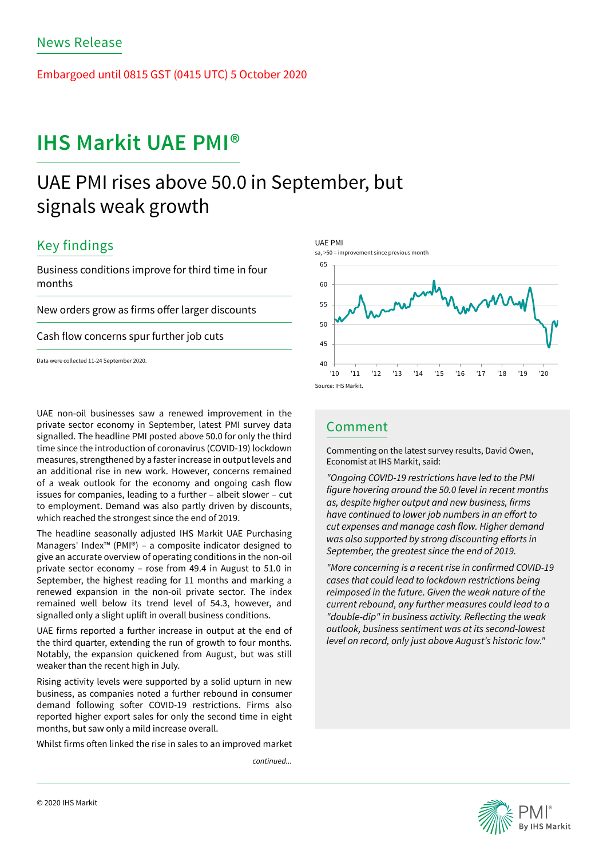Embargoed until 0815 GST (0415 UTC) 5 October 2020

# **IHS Markit UAE PMI®**

# UAE PMI rises above 50.0 in September, but signals weak growth

## Key findings

Business conditions improve for third time in four months

New orders grow as firms offer larger discounts

Cash flow concerns spur further job cuts

Data were collected 11-24 September 2020.

UAE non-oil businesses saw a renewed improvement in the private sector economy in September, latest PMI survey data signalled. The headline PMI posted above 50.0 for only the third time since the introduction of coronavirus (COVID-19) lockdown measures, strengthened by a faster increase in output levels and an additional rise in new work. However, concerns remained of a weak outlook for the economy and ongoing cash flow issues for companies, leading to a further – albeit slower – cut to employment. Demand was also partly driven by discounts, which reached the strongest since the end of 2019.

The headline seasonally adjusted IHS Markit UAE Purchasing Managers' Index™ (PMI®) – a composite indicator designed to give an accurate overview of operating conditions in the non-oil private sector economy – rose from 49.4 in August to 51.0 in September, the highest reading for 11 months and marking a renewed expansion in the non-oil private sector. The index remained well below its trend level of 54.3, however, and signalled only a slight uplift in overall business conditions.

UAE firms reported a further increase in output at the end of the third quarter, extending the run of growth to four months. Notably, the expansion quickened from August, but was still weaker than the recent high in July.

Rising activity levels were supported by a solid upturn in new business, as companies noted a further rebound in consumer demand following softer COVID-19 restrictions. Firms also reported higher export sales for only the second time in eight months, but saw only a mild increase overall.

Whilst firms often linked the rise in sales to an improved market

*continued...*



## Comment

Commenting on the latest survey results, David Owen, Economist at IHS Markit, said:

*"Ongoing COVID-19 restrictions have led to the PMI*  figure hovering around the 50.0 level in recent months as, despite higher output and new business, firms have continued to lower job numbers in an effort to cut expenses and manage cash flow. Higher demand was also supported by strong discounting efforts in September, the greatest since the end of 2019.

"More concerning is a recent rise in confirmed COVID-19 *cases that could lead to lockdown restrictions being*  reimposed in the future. Given the weak nature of the current rebound, any further measures could lead to a "double-dip" in business activity. Reflecting the weak outlook, business sentiment was at its second-lowest *level on record, only just above August's historic low."*